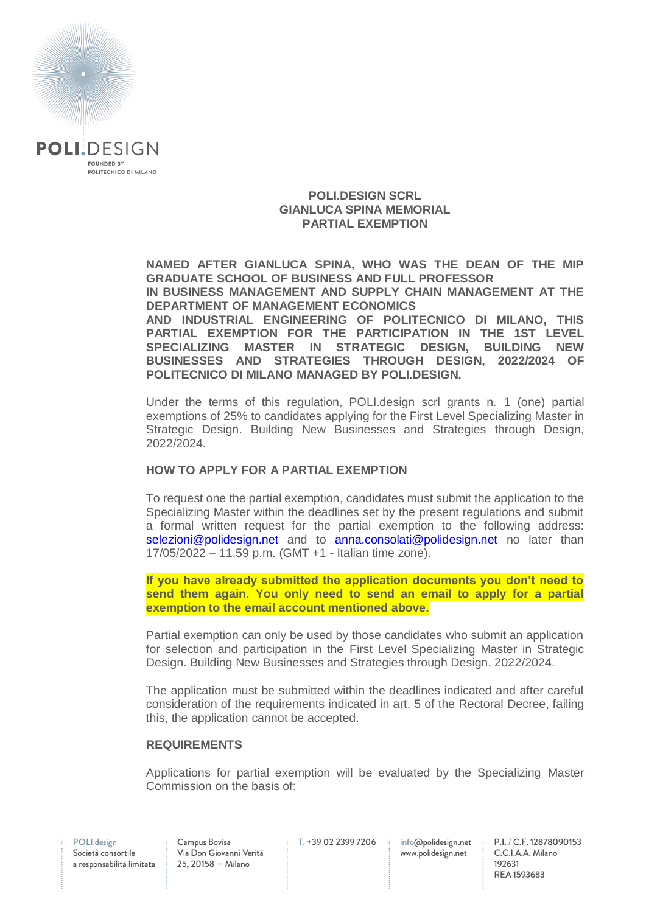

### **POLI.DESIGN SCRL GIANLUCA SPINA MEMORIAL PARTIAL EXEMPTION**

**NAMED AFTER GIANLUCA SPINA, WHO WAS THE DEAN OF THE MIP GRADUATE SCHOOL OF BUSINESS AND FULL PROFESSOR IN BUSINESS MANAGEMENT AND SUPPLY CHAIN MANAGEMENT AT THE DEPARTMENT OF MANAGEMENT ECONOMICS AND INDUSTRIAL ENGINEERING OF POLITECNICO DI MILANO, THIS** 

**PARTIAL EXEMPTION FOR THE PARTICIPATION IN THE 1ST LEVEL SPECIALIZING MASTER IN STRATEGIC DESIGN, BUILDING NEW BUSINESSES AND STRATEGIES THROUGH DESIGN, 2022/2024 OF POLITECNICO DI MILANO MANAGED BY POLI.DESIGN.**

Under the terms of this regulation, POLI.design scrl grants n. 1 (one) partial exemptions of 25% to candidates applying for the First Level Specializing Master in Strategic Design. Building New Businesses and Strategies through Design, 2022/2024.

## **HOW TO APPLY FOR A PARTIAL EXEMPTION**

To request one the partial exemption, candidates must submit the application to the Specializing Master within the deadlines set by the present regulations and submit a formal written request for the partial exemption to the following address: [selezioni@polidesign.net](mailto:selezioni@polidesign.net) and to [anna.consolati@polidesign.net](mailto:anna.consolati@polidesign.net) no later than 17/05/2022 – 11.59 p.m. (GMT +1 - Italian time zone).

**If you have already submitted the application documents you don't need to send them again. You only need to send an email to apply for a partial exemption to the email account mentioned above.**

Partial exemption can only be used by those candidates who submit an application for selection and participation in the First Level Specializing Master in Strategic Design. Building New Businesses and Strategies through Design, 2022/2024.

The application must be submitted within the deadlines indicated and after careful consideration of the requirements indicated in art. 5 of the Rectoral Decree, failing this, the application cannot be accepted.

## **REQUIREMENTS**

Applications for partial exemption will be evaluated by the Specializing Master Commission on the basis of:

Campus Bovisa Via Don Giovanni Verità  $25, 20158 -$  Milano

T. +39 02 2399 7206

info@polidesign.net www.polidesign.net

P.I. / C.F. 12878090153 C.C.I.A.A. Milano 192631 REA 1593683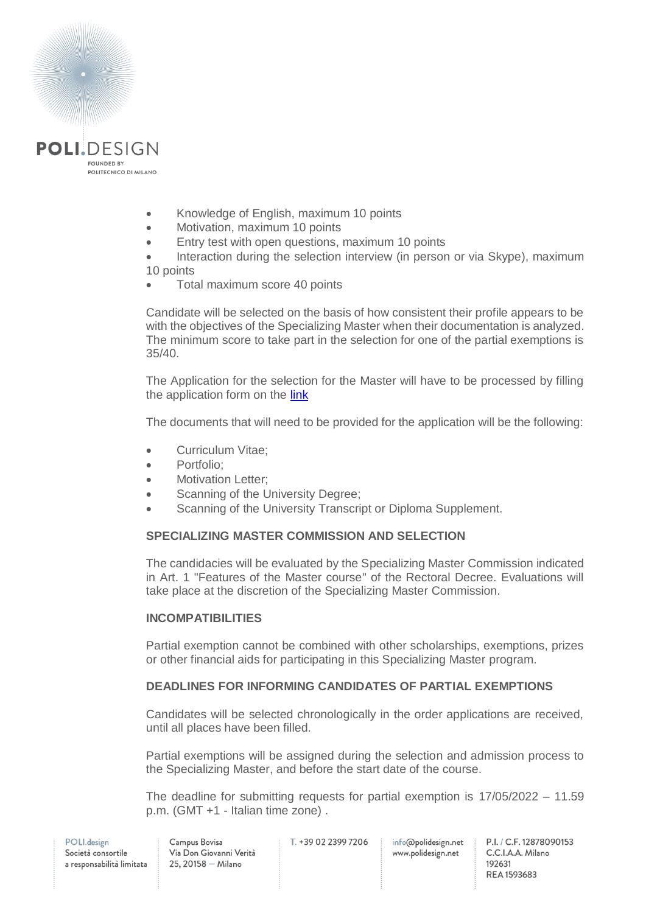

- Knowledge of English, maximum 10 points
- Motivation, maximum 10 points
- **Entry test with open questions, maximum 10 points**

• Interaction during the selection interview (in person or via Skype), maximum 10 points

Total maximum score 40 points

Candidate will be selected on the basis of how consistent their profile appears to be with the objectives of the Specializing Master when their documentation is analyzed. The minimum score to take part in the selection for one of the partial exemptions is 35/40.

The Application for the selection for the Master will have to be processed by filling the application form on the [link](https://www.polidesign.net/en/member-login/?candidatura&redirect_to=https://www.polidesign.net/en/candidatura/?courseID=POLID_5fce35d54a7bd)

The documents that will need to be provided for the application will be the following:

- Curriculum Vitae:
- Portfolio:
- Motivation Letter;
- Scanning of the University Degree;
- Scanning of the University Transcript or Diploma Supplement.

## **SPECIALIZING MASTER COMMISSION AND SELECTION**

The candidacies will be evaluated by the Specializing Master Commission indicated in Art. 1 "Features of the Master course" of the Rectoral Decree. Evaluations will take place at the discretion of the Specializing Master Commission.

## **INCOMPATIBILITIES**

Partial exemption cannot be combined with other scholarships, exemptions, prizes or other financial aids for participating in this Specializing Master program.

# **DEADLINES FOR INFORMING CANDIDATES OF PARTIAL EXEMPTIONS**

Candidates will be selected chronologically in the order applications are received, until all places have been filled.

Partial exemptions will be assigned during the selection and admission process to the Specializing Master, and before the start date of the course.

The deadline for submitting requests for partial exemption is 17/05/2022 – 11.59 p.m. (GMT +1 - Italian time zone) .

T. +39 02 2399 7206

info@polidesign.net www.polidesign.net

P.I. / C.F. 12878090153 C.C.I.A.A. Milano 192631 REA 1593683